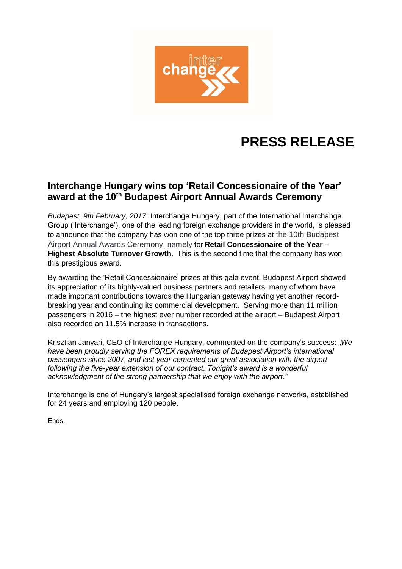

## **PRESS RELEASE**

## **Interchange Hungary wins top 'Retail Concessionaire of the Year' award at the 10th Budapest Airport Annual Awards Ceremony**

*Budapest, 9th February, 2017*: Interchange Hungary, part of the International Interchange Group ('Interchange'), one of the leading foreign exchange providers in the world, is pleased to announce that the company has won one of the top three prizes at the 10th Budapest Airport Annual Awards Ceremony, namely for **Retail Concessionaire of the Year – Highest Absolute Turnover Growth.** This is the second time that the company has won this prestigious award.

By awarding the 'Retail Concessionaire' prizes at this gala event, Budapest Airport showed its appreciation of its highly-valued business partners and retailers, many of whom have made important contributions towards the Hungarian gateway having yet another recordbreaking year and continuing its commercial development. Serving more than 11 million passengers in 2016 – the highest ever number recorded at the airport – Budapest Airport also recorded an 11.5% increase in transactions.

Krisztian Janvari, CEO of Interchange Hungary, commented on the company's success: *"We have been proudly serving the FOREX requirements of Budapest Airport's international passengers since 2007, and last year cemented our great association with the airport following the five-year extension of our contract. Tonight's award is a wonderful acknowledgment of the strong partnership that we enjoy with the airport."*

Interchange is one of Hungary's largest specialised foreign exchange networks, established for 24 years and employing 120 people.

Ends.